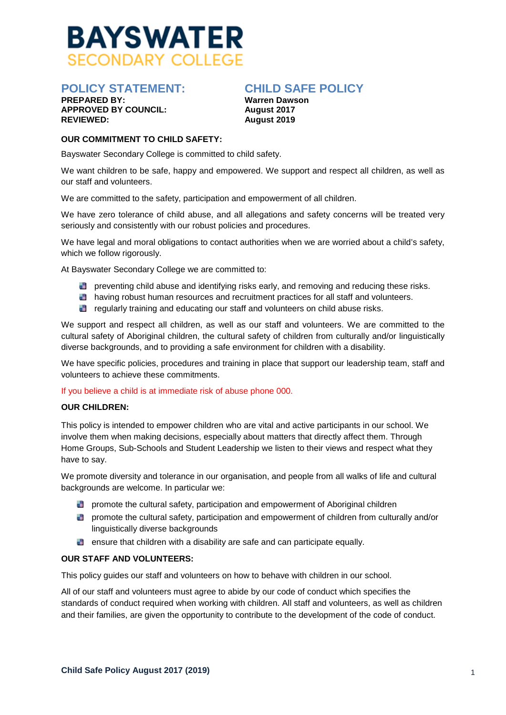

# **APPROVED BY COUNCIL:**<br>REVIEWED:

### **POLICY STATEMENT: CHILD SAFE POLICY**

**Warren Dawson**<br>August 2017 **REVIEWED: August 2019** 

#### **OUR COMMITMENT TO CHILD SAFETY:**

Bayswater Secondary College is committed to child safety.

We want children to be safe, happy and empowered. We support and respect all children, as well as our staff and volunteers.

We are committed to the safety, participation and empowerment of all children.

We have zero tolerance of child abuse, and all allegations and safety concerns will be treated very seriously and consistently with our robust policies and procedures.

We have legal and moral obligations to contact authorities when we are worried about a child's safety, which we follow rigorously.

At Bayswater Secondary College we are committed to:

- **D** preventing child abuse and identifying risks early, and removing and reducing these risks.
- **having robust human resources and recruitment practices for all staff and volunteers.**
- **R** regularly training and educating our staff and volunteers on child abuse risks.

We support and respect all children, as well as our staff and volunteers. We are committed to the cultural safety of Aboriginal children, the cultural safety of children from culturally and/or linguistically diverse backgrounds, and to providing a safe environment for children with a disability.

We have specific policies, procedures and training in place that support our leadership team, staff and volunteers to achieve these commitments.

If you believe a child is at immediate risk of abuse phone 000.

#### **OUR CHILDREN:**

This policy is intended to empower children who are vital and active participants in our school. We involve them when making decisions, especially about matters that directly affect them. Through Home Groups, Sub-Schools and Student Leadership we listen to their views and respect what they have to say.

We promote diversity and tolerance in our organisation, and people from all walks of life and cultural backgrounds are welcome. In particular we:

- **D** promote the cultural safety, participation and empowerment of Aboriginal children
- **D** promote the cultural safety, participation and empowerment of children from culturally and/or linguistically diverse backgrounds
- $\Box$  ensure that children with a disability are safe and can participate equally.

#### **OUR STAFF AND VOLUNTEERS:**

This policy guides our staff and volunteers on how to behave with children in our school.

All of our staff and volunteers must agree to abide by our code of conduct which specifies the standards of conduct required when working with children. All staff and volunteers, as well as children and their families, are given the opportunity to contribute to the development of the code of conduct.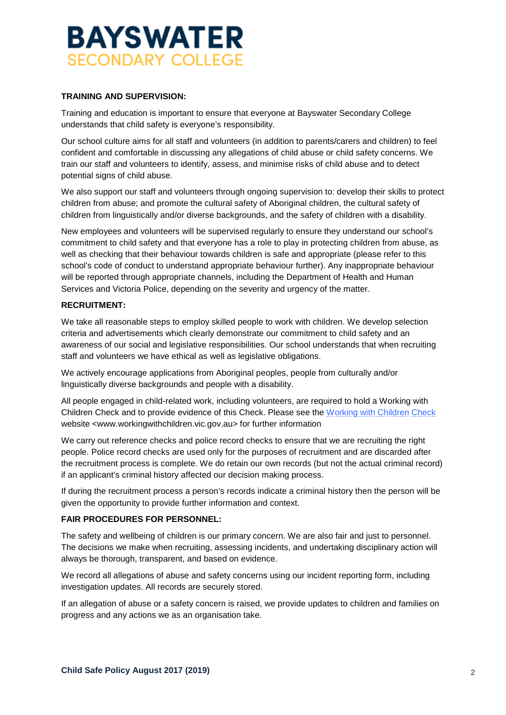### **BAYSWATER SECONDARY COLLEGE**

#### **TRAINING AND SUPERVISION:**

Training and education is important to ensure that everyone at Bayswater Secondary College understands that child safety is everyone's responsibility.

Our school culture aims for all staff and volunteers (in addition to parents/carers and children) to feel confident and comfortable in discussing any allegations of child abuse or child safety concerns. We train our staff and volunteers to identify, assess, and minimise risks of child abuse and to detect potential signs of child abuse.

We also support our staff and volunteers through ongoing supervision to: develop their skills to protect children from abuse; and promote the cultural safety of Aboriginal children, the cultural safety of children from linguistically and/or diverse backgrounds, and the safety of children with a disability.

New employees and volunteers will be supervised regularly to ensure they understand our school's commitment to child safety and that everyone has a role to play in protecting children from abuse, as well as checking that their behaviour towards children is safe and appropriate (please refer to this school's code of conduct to understand appropriate behaviour further). Any inappropriate behaviour will be reported through appropriate channels, including the Department of Health and Human Services and Victoria Police, depending on the severity and urgency of the matter.

#### **RECRUITMENT:**

We take all reasonable steps to employ skilled people to work with children. We develop selection criteria and advertisements which clearly demonstrate our commitment to child safety and an awareness of our social and legislative responsibilities. Our school understands that when recruiting staff and volunteers we have ethical as well as legislative obligations.

We actively encourage applications from Aboriginal peoples, people from culturally and/or linguistically diverse backgrounds and people with a disability.

All people engaged in child-related work, including volunteers, are required to hold a Working with Children Check and to provide evidence of this Check. Please see the [Working with Children Check](http://www.workingwithchildren.vic.gov.au/) website <www.workingwithchildren.vic.gov.au> for further information

We carry out reference checks and police record checks to ensure that we are recruiting the right people. Police record checks are used only for the purposes of recruitment and are discarded after the recruitment process is complete. We do retain our own records (but not the actual criminal record) if an applicant's criminal history affected our decision making process.

If during the recruitment process a person's records indicate a criminal history then the person will be given the opportunity to provide further information and context.

#### **FAIR PROCEDURES FOR PERSONNEL:**

The safety and wellbeing of children is our primary concern. We are also fair and just to personnel. The decisions we make when recruiting, assessing incidents, and undertaking disciplinary action will always be thorough, transparent, and based on evidence.

We record all allegations of abuse and safety concerns using our incident reporting form, including investigation updates. All records are securely stored.

If an allegation of abuse or a safety concern is raised, we provide updates to children and families on progress and any actions we as an organisation take.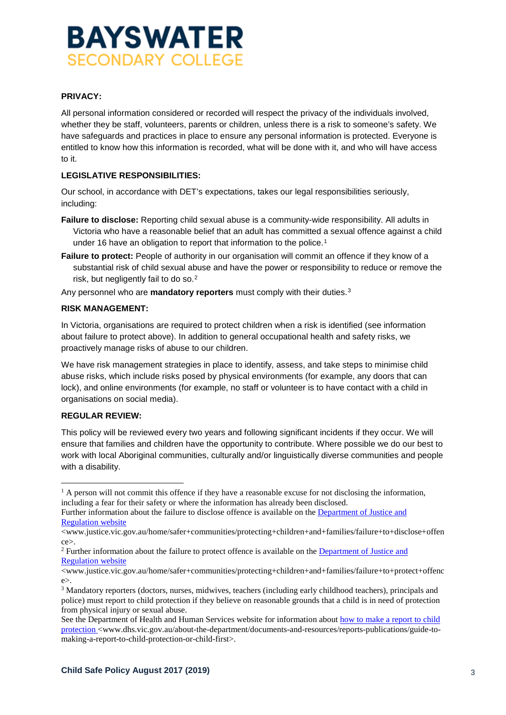## **BAYSWATER SECONDARY COLLEGE**

#### **PRIVACY:**

All personal information considered or recorded will respect the privacy of the individuals involved, whether they be staff, volunteers, parents or children, unless there is a risk to someone's safety. We have safeguards and practices in place to ensure any personal information is protected. Everyone is entitled to know how this information is recorded, what will be done with it, and who will have access to it.

#### **LEGISLATIVE RESPONSIBILITIES:**

Our school, in accordance with DET's expectations, takes our legal responsibilities seriously, including:

- **Failure to disclose:** Reporting child sexual abuse is a community-wide responsibility. All adults in Victoria who have a reasonable belief that an adult has committed a sexual offence against a child under [1](#page-2-0)6 have an obligation to report that information to the police.<sup>1</sup>
- **Failure to protect:** People of authority in our organisation will commit an offence if they know of a substantial risk of child sexual abuse and have the power or responsibility to reduce or remove the risk, but negligently fail to do so.[2](#page-2-1)

Any personnel who are **mandatory reporters** must comply with their duties.[3](#page-2-2)

#### **RISK MANAGEMENT:**

In Victoria, organisations are required to protect children when a risk is identified (see information about failure to protect above). In addition to general occupational health and safety risks, we proactively manage risks of abuse to our children.

We have risk management strategies in place to identify, assess, and take steps to minimise child abuse risks, which include risks posed by physical environments (for example, any doors that can lock), and online environments (for example, no staff or volunteer is to have contact with a child in organisations on social media).

#### **REGULAR REVIEW:**

This policy will be reviewed every two years and following significant incidents if they occur. We will ensure that families and children have the opportunity to contribute. Where possible we do our best to work with local Aboriginal communities, culturally and/or linguistically diverse communities and people with a disability.

<span id="page-2-0"></span> $<sup>1</sup>$  A person will not commit this offence if they have a reasonable excuse for not disclosing the information,</sup> including a fear for their safety or where the information has already been disclosed.

Further information about the failure to disclose offence is available on the [Department of Justice and](http://www.justice.vic.gov.au/home/safer+communities/protecting+children+and+families/failure+to+disclose+offence)  [Regulation website](http://www.justice.vic.gov.au/home/safer+communities/protecting+children+and+families/failure+to+disclose+offence)

<sup>&</sup>lt;www.justice.vic.gov.au/home/safer+communities/protecting+children+and+families/failure+to+disclose+offen ce>.

<span id="page-2-1"></span><sup>2</sup> Further information about the failure to protect offence is available on the [Department of Justice and](http://www.justice.vic.gov.au/home/safer+communities/protecting+children+and+families/failure+to+protect+offence)  [Regulation website](http://www.justice.vic.gov.au/home/safer+communities/protecting+children+and+families/failure+to+protect+offence)

<sup>&</sup>lt;www.justice.vic.gov.au/home/safer+communities/protecting+children+and+families/failure+to+protect+offenc e>.

<span id="page-2-2"></span><sup>&</sup>lt;sup>3</sup> Mandatory reporters (doctors, nurses, midwives, teachers (including early childhood teachers), principals and police) must report to child protection if they believe on reasonable grounds that a child is in need of protection from physical injury or sexual abuse.

See the Department of Health and Human Services website for information about [how to make a report to child](http://www.dhs.vic.gov.au/about-the-department/documents-and-resources/reports-publications/guide-to-making-a-report-to-child-protection-or-child-first)  [protection](http://www.dhs.vic.gov.au/about-the-department/documents-and-resources/reports-publications/guide-to-making-a-report-to-child-protection-or-child-first) <www.dhs.vic.gov.au/about-the-department/documents-and-resources/reports-publications/guide-tomaking-a-report-to-child-protection-or-child-first>.